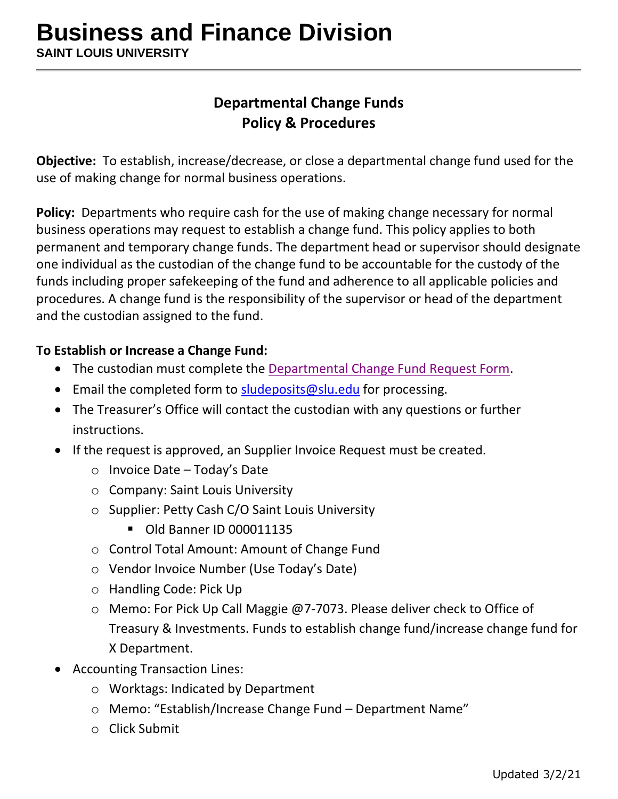# **Departmental Change Funds Policy & Procedures**

**Objective:** To establish, increase/decrease, or close a departmental change fund used for the use of making change for normal business operations.

**Policy:** Departments who require cash for the use of making change necessary for normal business operations may request to establish a change fund. This policy applies to both permanent and temporary change funds. The department head or supervisor should designate one individual as the custodian of the change fund to be accountable for the custody of the funds including proper safekeeping of the fund and adherence to all applicable policies and procedures. A change fund is the responsibility of the supervisor or head of the department and the custodian assigned to the fund.

### **To Establish or Increase a Change Fund:**

- The custodian must complete the [Departmental Change Fund Request Form.](https://www.slu.edu/business-finance/departments-and-offices/treasury-investments/index.php)
- Email the completed form to [sludeposits@slu.edu](mailto:sludeposits@slu.edu) for processing.
- The Treasurer's Office will contact the custodian with any questions or further instructions.
- If the request is approved, an [Supplier](http://www.slu.edu/Documents/busfin/eSeePay-Manual.pdf) Invoice Request must be created.
	- o Invoice Date Today's Date
	- o Company: Saint Louis University
	- o Supplier: Petty Cash C/O Saint Louis University
		- Old Banner ID 000011135
	- o Control Total Amount: Amount of Change Fund
	- o Vendor Invoice Number (Use Today's Date)
	- o Handling Code: Pick Up
	- o Memo: For Pick Up Call Maggie @7-7073. Please deliver check to Office of Treasury & Investments. Funds to establish change fund/increase change fund for X Department.
- Accounting Transaction Lines:
	- o Worktags: Indicated by Department
	- o Memo: "Establish/Increase Change Fund Department Name"
	- o Click Submit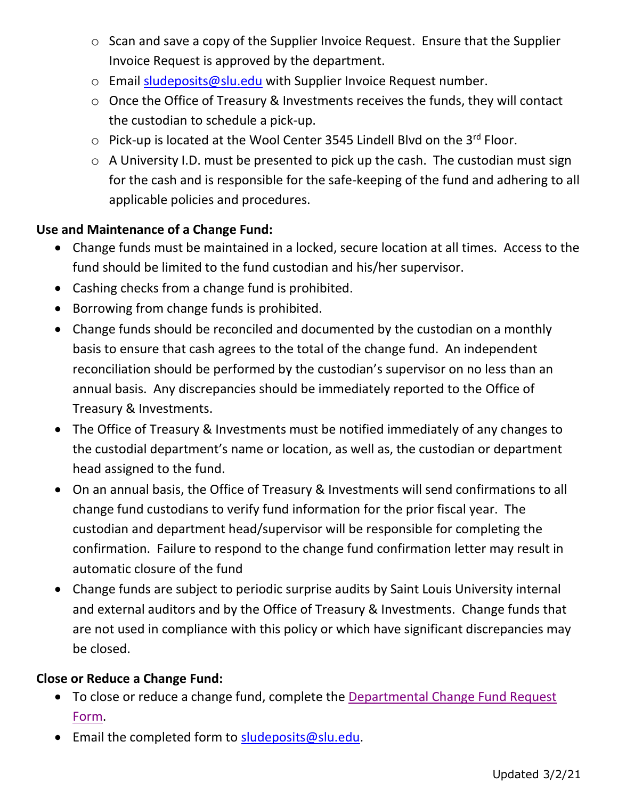- o Scan and save a copy of the Supplier Invoice Request. Ensure that the Supplier Invoice Request is approved by the department.
- $\circ$  Email [sludeposits@slu.edu](mailto:sludeposits@slu.edu) with Supplier Invoice Request number.
- o Once the Office of Treasury & Investments receives the funds, they will contact the custodian to schedule a pick-up.
- $\circ$  Pick-up is located at the Wool Center 3545 Lindell Blvd on the 3<sup>rd</sup> Floor.
- $\circ$  A University I.D. must be presented to pick up the cash. The custodian must sign for the cash and is responsible for the safe-keeping of the fund and adhering to all applicable policies and procedures.

# **Use and Maintenance of a Change Fund:**

- Change funds must be maintained in a locked, secure location at all times. Access to the fund should be limited to the fund custodian and his/her supervisor.
- Cashing checks from a change fund is prohibited.
- Borrowing from change funds is prohibited.
- Change funds should be reconciled and documented by the custodian on a monthly basis to ensure that cash agrees to the total of the change fund. An independent reconciliation should be performed by the custodian's supervisor on no less than an annual basis. Any discrepancies should be immediately reported to the Office of Treasury & Investments.
- The Office of Treasury & Investments must be notified immediately of any changes to the custodial department's name or location, as well as, the custodian or department head assigned to the fund.
- On an annual basis, the Office of Treasury & Investments will send confirmations to all change fund custodians to verify fund information for the prior fiscal year. The custodian and department head/supervisor will be responsible for completing the confirmation. Failure to respond to the change fund confirmation letter may result in automatic closure of the fund
- Change funds are subject to periodic surprise audits by Saint Louis University internal and external auditors and by the Office of Treasury & Investments. Change funds that are not used in compliance with this policy or which have significant discrepancies may be closed.

# **Close or Reduce a Change Fund:**

- To close or reduce a change fund, complete the [Departmental Change Fund Request](https://www.slu.edu/business-finance/departments-and-offices/treasury-investments/index.php)  [Form.](https://www.slu.edu/business-finance/departments-and-offices/treasury-investments/index.php)
- Email the completed form to [sludeposits@slu.edu.](mailto:sludeposits@slu.edu)